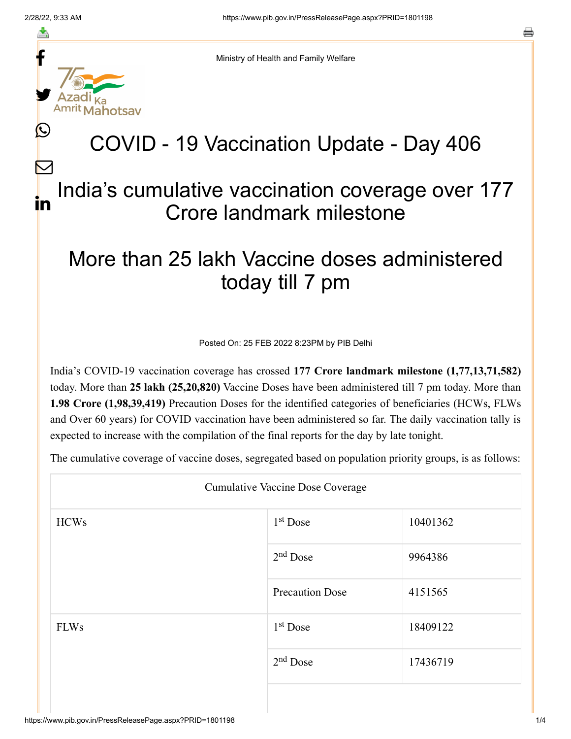≛

Ŀ

 $\bm{\nabla}$ 



Ministry of Health and Family Welfare

## COVID - 19 Vaccination Update - Day 406

## India's cumulative vaccination coverage over 177 Crore landmark milestone in

## More than 25 lakh Vaccine doses administered today till 7 pm

Posted On: 25 FEB 2022 8:23PM by PIB Delhi

India's COVID-19 vaccination coverage has crossed **177 Crore landmark milestone (1,77,13,71,582)** today. More than **25 lakh (25,20,820)** Vaccine Doses have been administered till 7 pm today. More than **1.98 Crore (1,98,39,419)** Precaution Doses for the identified categories of beneficiaries (HCWs, FLWs and Over 60 years) for COVID vaccination have been administered so far. The daily vaccination tally is expected to increase with the compilation of the final reports for the day by late tonight.

The cumulative coverage of vaccine doses, segregated based on population priority groups, is as follows:

| <b>Cumulative Vaccine Dose Coverage</b> |                        |          |  |  |
|-----------------------------------------|------------------------|----------|--|--|
| <b>HCWs</b>                             | $1st$ Dose             | 10401362 |  |  |
|                                         | $2nd$ Dose             | 9964386  |  |  |
|                                         | <b>Precaution Dose</b> | 4151565  |  |  |
| <b>FLWs</b>                             | $1st$ Dose             | 18409122 |  |  |
|                                         | $2nd$ Dose             | 17436719 |  |  |
|                                         |                        |          |  |  |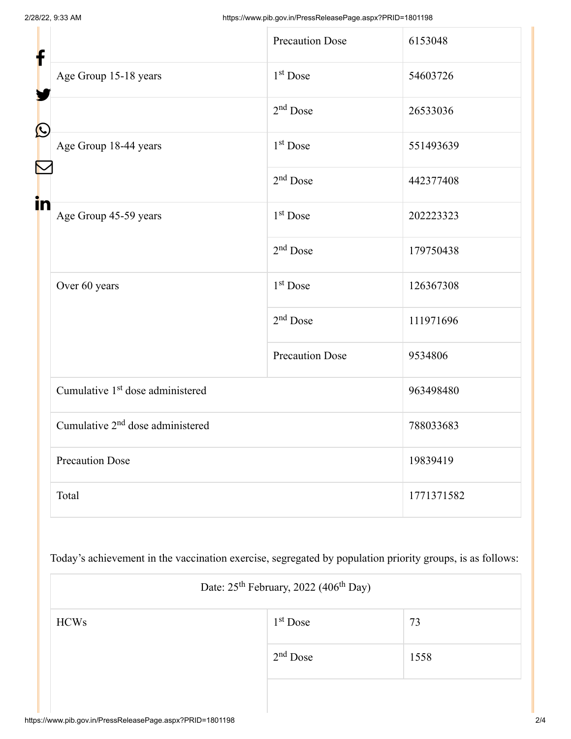| f            |                                              | <b>Precaution Dose</b> | 6153048    |
|--------------|----------------------------------------------|------------------------|------------|
|              | Age Group 15-18 years                        | 1 <sup>st</sup> Dose   | 54603726   |
| $\bf \Omega$ |                                              | $2nd$ Dose             | 26533036   |
|              | Age Group 18-44 years                        | 1 <sup>st</sup> Dose   | 551493639  |
|              |                                              | $2nd$ Dose             | 442377408  |
| in           | Age Group 45-59 years                        | 1 <sup>st</sup> Dose   | 202223323  |
|              |                                              | $2nd$ Dose             | 179750438  |
|              | Over 60 years                                | $1st$ Dose             | 126367308  |
|              |                                              | $2nd$ Dose             | 111971696  |
|              |                                              | <b>Precaution Dose</b> | 9534806    |
|              | Cumulative 1 <sup>st</sup> dose administered |                        | 963498480  |
|              | Cumulative 2 <sup>nd</sup> dose administered |                        | 788033683  |
|              | <b>Precaution Dose</b>                       |                        | 19839419   |
|              | Total                                        |                        | 1771371582 |

Today's achievement in the vaccination exercise, segregated by population priority groups, is as follows:

| Date: 25 <sup>th</sup> February, 2022 (406 <sup>th</sup> Day) |            |      |  |  |
|---------------------------------------------------------------|------------|------|--|--|
| <b>HCWs</b>                                                   | $1st$ Dose | 73   |  |  |
|                                                               | $2nd$ Dose | 1558 |  |  |
|                                                               |            |      |  |  |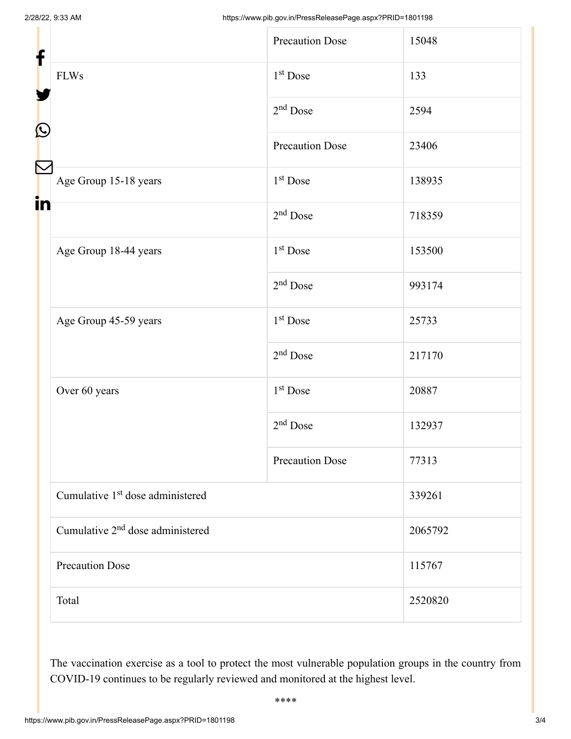| f                 |                                              | <b>Precaution Dose</b> | 15048   |
|-------------------|----------------------------------------------|------------------------|---------|
|                   | <b>FLWs</b>                                  | 1 <sup>st</sup> Dose   | 133     |
|                   |                                              | $2nd$ Dose             | 2594    |
| $\mathbf{\Omega}$ |                                              | <b>Precaution Dose</b> | 23406   |
|                   | Age Group 15-18 years                        | $1st$ Dose             | 138935  |
| in                |                                              | $2nd$ Dose             | 718359  |
|                   | Age Group 18-44 years                        | 1 <sup>st</sup> Dose   | 153500  |
|                   |                                              | $2nd$ Dose             | 993174  |
|                   | Age Group 45-59 years                        | 1 <sup>st</sup> Dose   | 25733   |
|                   |                                              | $2nd$ Dose             | 217170  |
|                   | Over 60 years                                | 1 <sup>st</sup> Dose   | 20887   |
|                   |                                              | $2nd$ Dose             | 132937  |
|                   |                                              | <b>Precaution Dose</b> | 77313   |
|                   | Cumulative 1 <sup>st</sup> dose administered |                        | 339261  |
|                   | Cumulative 2 <sup>nd</sup> dose administered |                        | 2065792 |
|                   | <b>Precaution Dose</b>                       |                        | 115767  |
|                   | Total                                        |                        | 2520820 |

The vaccination exercise as a tool to protect the most vulnerable population groups in the country from COVID-19 continues to be regularly reviewed and monitored at the highest level.